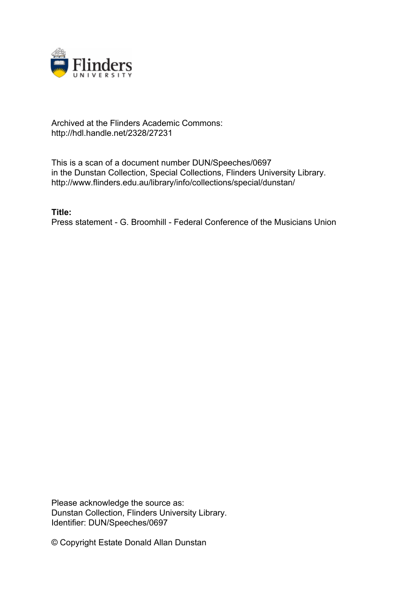

## Archived at the Flinders Academic Commons: http://hdl.handle.net/2328/27231

This is a scan of a document number DUN/Speeches/0697 in the Dunstan Collection, Special Collections, Flinders University Library. http://www.flinders.edu.au/library/info/collections/special/dunstan/

**Title:** Press statement - G. Broomhill - Federal Conference of the Musicians Union

Please acknowledge the source as: Dunstan Collection, Flinders University Library. Identifier: DUN/Speeches/0697

© Copyright Estate Donald Allan Dunstan